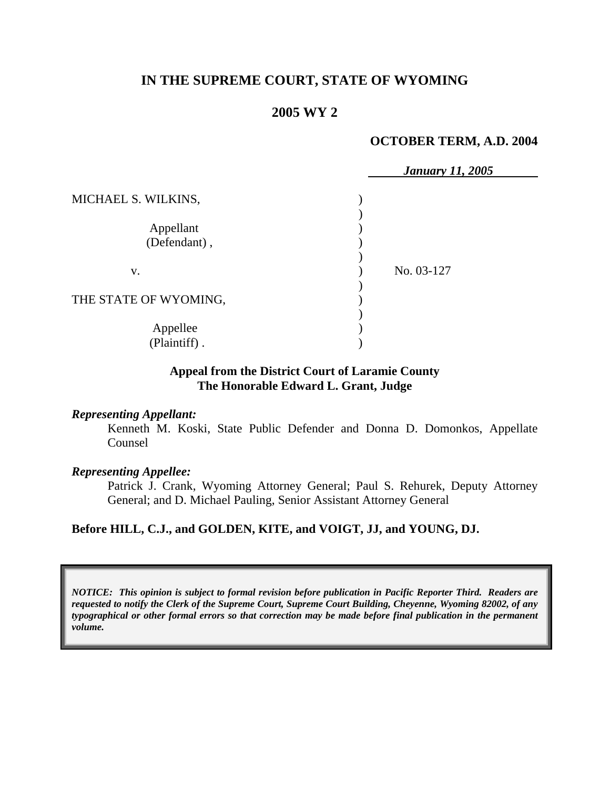# **IN THE SUPREME COURT, STATE OF WYOMING**

## **2005 WY 2**

### **OCTOBER TERM, A.D. 2004**

|                       | <b>January 11, 2005</b> |
|-----------------------|-------------------------|
| MICHAEL S. WILKINS,   |                         |
|                       |                         |
| Appellant             |                         |
| (Defendant),          |                         |
|                       |                         |
| V.                    | No. 03-127              |
|                       |                         |
| THE STATE OF WYOMING, |                         |
|                       |                         |
| Appellee              |                         |
| (Plaintiff).          |                         |

### **Appeal from the District Court of Laramie County The Honorable Edward L. Grant, Judge**

#### *Representing Appellant:*

Kenneth M. Koski, State Public Defender and Donna D. Domonkos, Appellate Counsel

### *Representing Appellee:*

Patrick J. Crank, Wyoming Attorney General; Paul S. Rehurek, Deputy Attorney General; and D. Michael Pauling, Senior Assistant Attorney General

## **Before HILL, C.J., and GOLDEN, KITE, and VOIGT, JJ, and YOUNG, DJ.**

*NOTICE: This opinion is subject to formal revision before publication in Pacific Reporter Third. Readers are requested to notify the Clerk of the Supreme Court, Supreme Court Building, Cheyenne, Wyoming 82002, of any typographical or other formal errors so that correction may be made before final publication in the permanent volume.*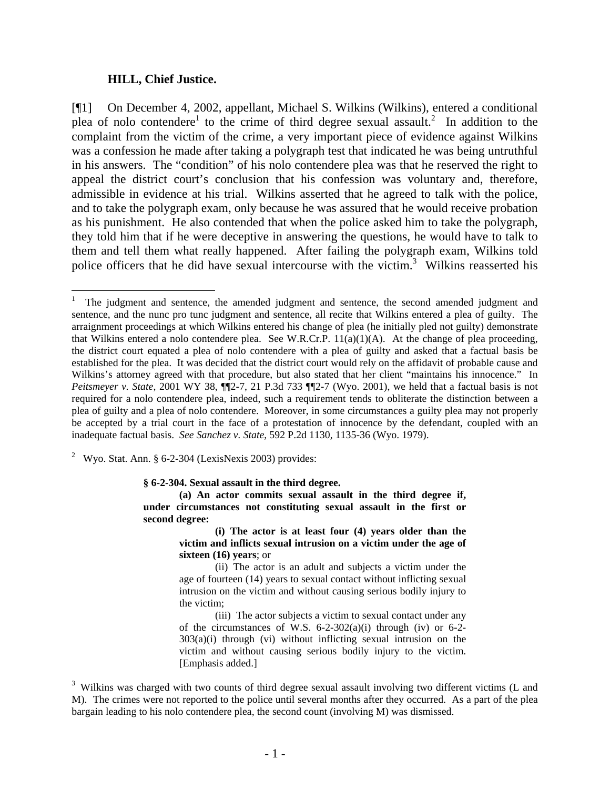#### **HILL, Chief Justice.**

[¶1] On December 4, 2002, appellant, Michael S. Wilkins (Wilkins), entered a conditional plea of nolo contendere<sup>1</sup> to the crime of third degree sexual assault.<sup>2</sup> In addition to the complaint from the victim of the crime, a very important piece of evidence against Wilkins was a confession he made after taking a polygraph test that indicated he was being untruthful in his answers. The "condition" of his nolo contendere plea was that he reserved the right to appeal the district court's conclusion that his confession was voluntary and, therefore, admissible in evidence at his trial. Wilkins asserted that he agreed to talk with the police, and to take the polygraph exam, only because he was assured that he would receive probation as his punishment. He also contended that when the police asked him to take the polygraph, they told him that if he were deceptive in answering the questions, he would have to talk to them and tell them what really happened. After failing the polygraph exam, Wilkins told police officers that he did have sexual intercourse with the victim.<sup>3</sup> Wilkins reasserted his

<sup>2</sup> Wyo. Stat. Ann. § 6-2-304 (LexisNexis 2003) provides:

**§ 6-2-304. Sexual assault in the third degree.**

**(a) An actor commits sexual assault in the third degree if, under circumstances not constituting sexual assault in the first or second degree:** 

> **(i) The actor is at least four (4) years older than the victim and inflicts sexual intrusion on a victim under the age of sixteen (16) years**; or

> (ii) The actor is an adult and subjects a victim under the age of fourteen (14) years to sexual contact without inflicting sexual intrusion on the victim and without causing serious bodily injury to the victim;

> (iii) The actor subjects a victim to sexual contact under any of the circumstances of W.S.  $6-2-302(a)(i)$  through (iv) or  $6-2 303(a)(i)$  through (vi) without inflicting sexual intrusion on the victim and without causing serious bodily injury to the victim. [Emphasis added.]

<sup>|&</sup>lt;br>|<br>| The judgment and sentence, the amended judgment and sentence, the second amended judgment and sentence, and the nunc pro tunc judgment and sentence, all recite that Wilkins entered a plea of guilty. The arraignment proceedings at which Wilkins entered his change of plea (he initially pled not guilty) demonstrate that Wilkins entered a nolo contendere plea. See W.R.Cr.P.  $11(a)(1)(A)$ . At the change of plea proceeding, the district court equated a plea of nolo contendere with a plea of guilty and asked that a factual basis be established for the plea. It was decided that the district court would rely on the affidavit of probable cause and Wilkins's attorney agreed with that procedure, but also stated that her client "maintains his innocence." In *Peitsmeyer v. State*, 2001 WY 38, ¶¶2-7, 21 P.3d 733 ¶¶2-7 (Wyo. 2001), we held that a factual basis is not required for a nolo contendere plea, indeed, such a requirement tends to obliterate the distinction between a plea of guilty and a plea of nolo contendere. Moreover, in some circumstances a guilty plea may not properly be accepted by a trial court in the face of a protestation of innocence by the defendant, coupled with an inadequate factual basis. *See Sanchez v. State*, 592 P.2d 1130, 1135-36 (Wyo. 1979).

<sup>&</sup>lt;sup>3</sup> Wilkins was charged with two counts of third degree sexual assault involving two different victims (L and M). The crimes were not reported to the police until several months after they occurred. As a part of the plea bargain leading to his nolo contendere plea, the second count (involving M) was dismissed.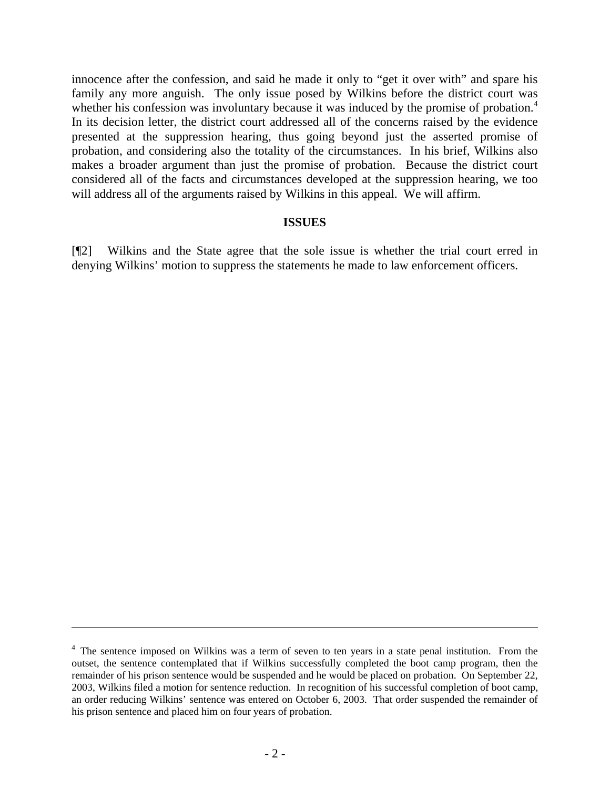innocence after the confession, and said he made it only to "get it over with" and spare his family any more anguish. The only issue posed by Wilkins before the district court was whether his confession was involuntary because it was induced by the promise of probation.<sup>4</sup> In its decision letter, the district court addressed all of the concerns raised by the evidence presented at the suppression hearing, thus going beyond just the asserted promise of probation, and considering also the totality of the circumstances. In his brief, Wilkins also makes a broader argument than just the promise of probation. Because the district court considered all of the facts and circumstances developed at the suppression hearing, we too will address all of the arguments raised by Wilkins in this appeal. We will affirm.

### **ISSUES**

[¶2] Wilkins and the State agree that the sole issue is whether the trial court erred in denying Wilkins' motion to suppress the statements he made to law enforcement officers.

 $\overline{a}$ 

 $4$  The sentence imposed on Wilkins was a term of seven to ten years in a state penal institution. From the outset, the sentence contemplated that if Wilkins successfully completed the boot camp program, then the remainder of his prison sentence would be suspended and he would be placed on probation. On September 22, 2003, Wilkins filed a motion for sentence reduction. In recognition of his successful completion of boot camp, an order reducing Wilkins' sentence was entered on October 6, 2003. That order suspended the remainder of his prison sentence and placed him on four years of probation.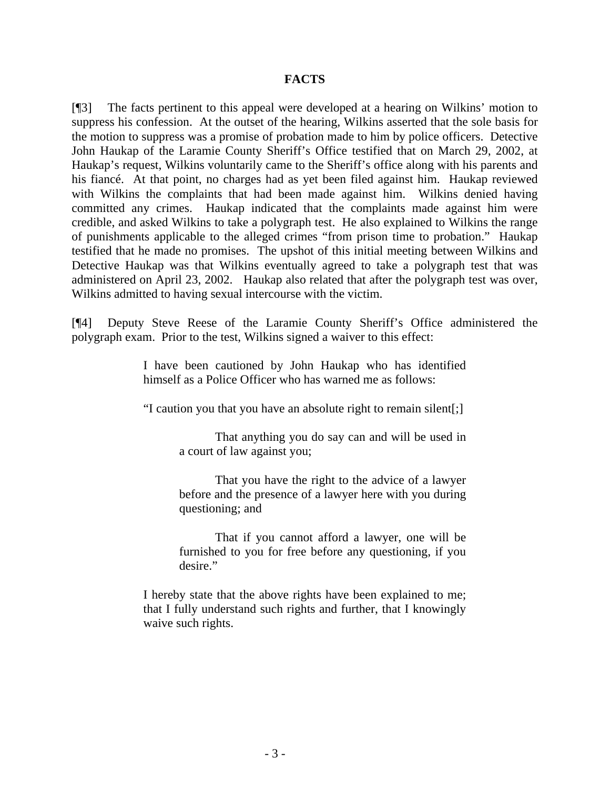### **FACTS**

[¶3] The facts pertinent to this appeal were developed at a hearing on Wilkins' motion to suppress his confession. At the outset of the hearing, Wilkins asserted that the sole basis for the motion to suppress was a promise of probation made to him by police officers. Detective John Haukap of the Laramie County Sheriff's Office testified that on March 29, 2002, at Haukap's request, Wilkins voluntarily came to the Sheriff's office along with his parents and his fiancé. At that point, no charges had as yet been filed against him. Haukap reviewed with Wilkins the complaints that had been made against him. Wilkins denied having committed any crimes. Haukap indicated that the complaints made against him were credible, and asked Wilkins to take a polygraph test. He also explained to Wilkins the range of punishments applicable to the alleged crimes "from prison time to probation." Haukap testified that he made no promises. The upshot of this initial meeting between Wilkins and Detective Haukap was that Wilkins eventually agreed to take a polygraph test that was administered on April 23, 2002. Haukap also related that after the polygraph test was over, Wilkins admitted to having sexual intercourse with the victim.

[¶4] Deputy Steve Reese of the Laramie County Sheriff's Office administered the polygraph exam. Prior to the test, Wilkins signed a waiver to this effect:

> I have been cautioned by John Haukap who has identified himself as a Police Officer who has warned me as follows:

> "I caution you that you have an absolute right to remain silent[;]

That anything you do say can and will be used in a court of law against you;

That you have the right to the advice of a lawyer before and the presence of a lawyer here with you during questioning; and

That if you cannot afford a lawyer, one will be furnished to you for free before any questioning, if you desire."

I hereby state that the above rights have been explained to me; that I fully understand such rights and further, that I knowingly waive such rights.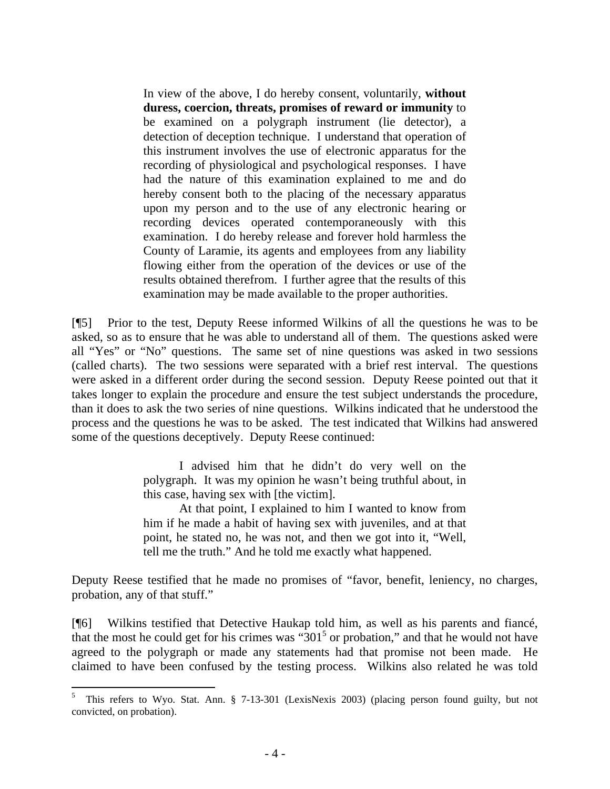In view of the above, I do hereby consent, voluntarily, **without duress, coercion, threats, promises of reward or immunity** to be examined on a polygraph instrument (lie detector), a detection of deception technique. I understand that operation of this instrument involves the use of electronic apparatus for the recording of physiological and psychological responses. I have had the nature of this examination explained to me and do hereby consent both to the placing of the necessary apparatus upon my person and to the use of any electronic hearing or recording devices operated contemporaneously with this examination. I do hereby release and forever hold harmless the County of Laramie, its agents and employees from any liability flowing either from the operation of the devices or use of the results obtained therefrom. I further agree that the results of this examination may be made available to the proper authorities.

[¶5] Prior to the test, Deputy Reese informed Wilkins of all the questions he was to be asked, so as to ensure that he was able to understand all of them. The questions asked were all "Yes" or "No" questions. The same set of nine questions was asked in two sessions (called charts). The two sessions were separated with a brief rest interval. The questions were asked in a different order during the second session. Deputy Reese pointed out that it takes longer to explain the procedure and ensure the test subject understands the procedure, than it does to ask the two series of nine questions. Wilkins indicated that he understood the process and the questions he was to be asked. The test indicated that Wilkins had answered some of the questions deceptively. Deputy Reese continued:

> I advised him that he didn't do very well on the polygraph. It was my opinion he wasn't being truthful about, in this case, having sex with [the victim].

> At that point, I explained to him I wanted to know from him if he made a habit of having sex with juveniles, and at that point, he stated no, he was not, and then we got into it, "Well, tell me the truth." And he told me exactly what happened.

Deputy Reese testified that he made no promises of "favor, benefit, leniency, no charges, probation, any of that stuff."

[¶6] Wilkins testified that Detective Haukap told him, as well as his parents and fiancé, that the most he could get for his crimes was " $301<sup>5</sup>$  or probation," and that he would not have agreed to the polygraph or made any statements had that promise not been made. He claimed to have been confused by the testing process. Wilkins also related he was told

 $\frac{1}{5}$ <sup>5</sup> This refers to Wyo. Stat. Ann. § 7-13-301 (LexisNexis 2003) (placing person found guilty, but not convicted, on probation).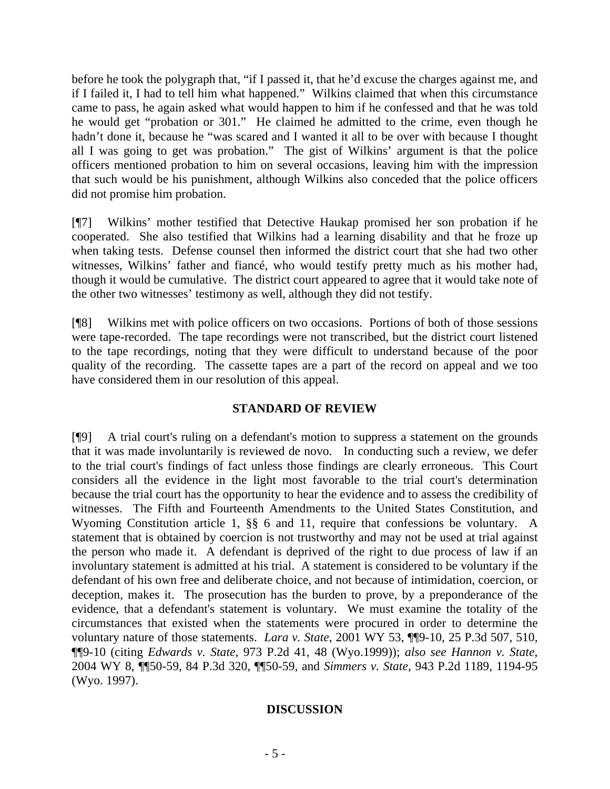before he took the polygraph that, "if I passed it, that he'd excuse the charges against me, and if I failed it, I had to tell him what happened." Wilkins claimed that when this circumstance came to pass, he again asked what would happen to him if he confessed and that he was told he would get "probation or 301." He claimed he admitted to the crime, even though he hadn't done it, because he "was scared and I wanted it all to be over with because I thought all I was going to get was probation." The gist of Wilkins' argument is that the police officers mentioned probation to him on several occasions, leaving him with the impression that such would be his punishment, although Wilkins also conceded that the police officers did not promise him probation.

[¶7] Wilkins' mother testified that Detective Haukap promised her son probation if he cooperated. She also testified that Wilkins had a learning disability and that he froze up when taking tests. Defense counsel then informed the district court that she had two other witnesses, Wilkins' father and fiancé, who would testify pretty much as his mother had, though it would be cumulative. The district court appeared to agree that it would take note of the other two witnesses' testimony as well, although they did not testify.

[¶8] Wilkins met with police officers on two occasions. Portions of both of those sessions were tape-recorded. The tape recordings were not transcribed, but the district court listened to the tape recordings, noting that they were difficult to understand because of the poor quality of the recording. The cassette tapes are a part of the record on appeal and we too have considered them in our resolution of this appeal.

## **STANDARD OF REVIEW**

[¶9] A trial court's ruling on a defendant's motion to suppress a statement on the grounds that it was made involuntarily is reviewed de novo. In conducting such a review, we defer to the trial court's findings of fact unless those findings are clearly erroneous. This Court considers all the evidence in the light most favorable to the trial court's determination because the trial court has the opportunity to hear the evidence and to assess the credibility of witnesses. The Fifth and Fourteenth Amendments to the United States Constitution, and Wyoming Constitution article 1, §§ 6 and 11, require that confessions be voluntary. A statement that is obtained by coercion is not trustworthy and may not be used at trial against the person who made it. A defendant is deprived of the right to due process of law if an involuntary statement is admitted at his trial. A statement is considered to be voluntary if the defendant of his own free and deliberate choice, and not because of intimidation, coercion, or deception, makes it. The prosecution has the burden to prove, by a preponderance of the evidence, that a defendant's statement is voluntary. We must examine the totality of the circumstances that existed when the statements were procured in order to determine the voluntary nature of those statements. *Lara v. State*, 2001 WY 53, ¶¶9-10, 25 P.3d 507, 510, ¶¶9-10 (citing *Edwards v. State*, 973 P.2d 41, 48 (Wyo.1999)); *also see Hannon v. State*, 2004 WY 8, ¶¶50-59, 84 P.3d 320, ¶¶50-59, and *Simmers v. State*, 943 P.2d 1189, 1194-95 (Wyo. 1997).

## **DISCUSSION**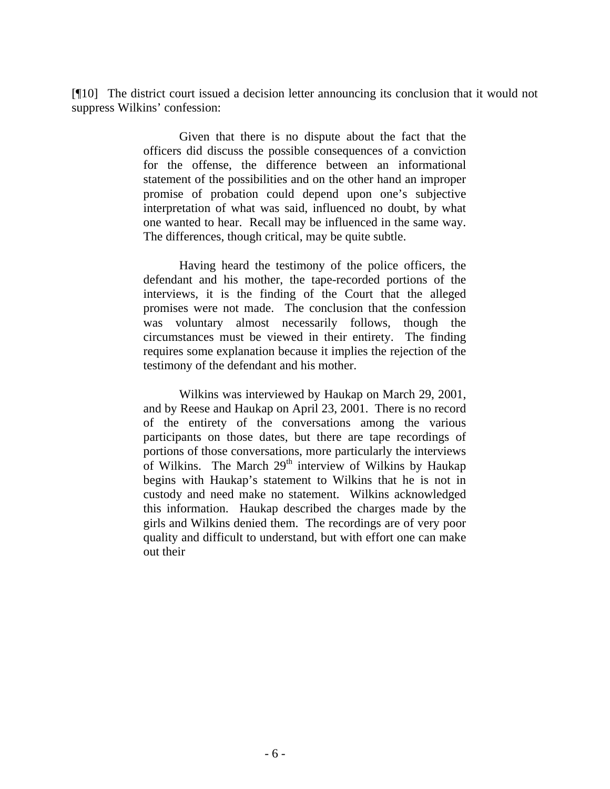[¶10] The district court issued a decision letter announcing its conclusion that it would not suppress Wilkins' confession:

> Given that there is no dispute about the fact that the officers did discuss the possible consequences of a conviction for the offense, the difference between an informational statement of the possibilities and on the other hand an improper promise of probation could depend upon one's subjective interpretation of what was said, influenced no doubt, by what one wanted to hear. Recall may be influenced in the same way. The differences, though critical, may be quite subtle.

> Having heard the testimony of the police officers, the defendant and his mother, the tape-recorded portions of the interviews, it is the finding of the Court that the alleged promises were not made. The conclusion that the confession was voluntary almost necessarily follows, though the circumstances must be viewed in their entirety. The finding requires some explanation because it implies the rejection of the testimony of the defendant and his mother.

> Wilkins was interviewed by Haukap on March 29, 2001, and by Reese and Haukap on April 23, 2001. There is no record of the entirety of the conversations among the various participants on those dates, but there are tape recordings of portions of those conversations, more particularly the interviews of Wilkins. The March  $29<sup>th</sup>$  interview of Wilkins by Haukap begins with Haukap's statement to Wilkins that he is not in custody and need make no statement. Wilkins acknowledged this information. Haukap described the charges made by the girls and Wilkins denied them. The recordings are of very poor quality and difficult to understand, but with effort one can make out their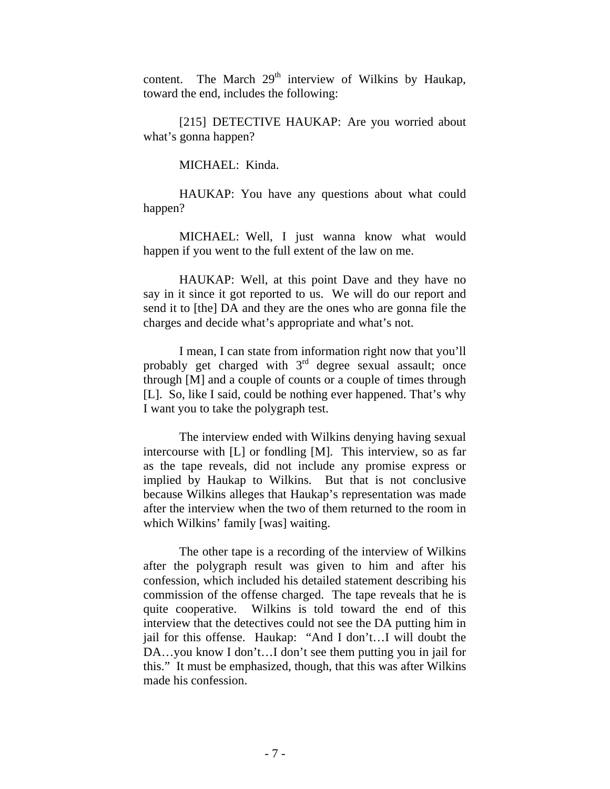content. The March  $29<sup>th</sup>$  interview of Wilkins by Haukap, toward the end, includes the following:

[215] DETECTIVE HAUKAP: Are you worried about what's gonna happen?

MICHAEL: Kinda.

HAUKAP: You have any questions about what could happen?

MICHAEL: Well, I just wanna know what would happen if you went to the full extent of the law on me.

HAUKAP: Well, at this point Dave and they have no say in it since it got reported to us. We will do our report and send it to [the] DA and they are the ones who are gonna file the charges and decide what's appropriate and what's not.

I mean, I can state from information right now that you'll probably get charged with  $3<sup>rd</sup>$  degree sexual assault; once through [M] and a couple of counts or a couple of times through [L]. So, like I said, could be nothing ever happened. That's why I want you to take the polygraph test.

The interview ended with Wilkins denying having sexual intercourse with [L] or fondling [M]. This interview, so as far as the tape reveals, did not include any promise express or implied by Haukap to Wilkins. But that is not conclusive because Wilkins alleges that Haukap's representation was made after the interview when the two of them returned to the room in which Wilkins' family [was] waiting.

The other tape is a recording of the interview of Wilkins after the polygraph result was given to him and after his confession, which included his detailed statement describing his commission of the offense charged. The tape reveals that he is quite cooperative. Wilkins is told toward the end of this interview that the detectives could not see the DA putting him in jail for this offense. Haukap: "And I don't…I will doubt the DA…you know I don't…I don't see them putting you in jail for this." It must be emphasized, though, that this was after Wilkins made his confession.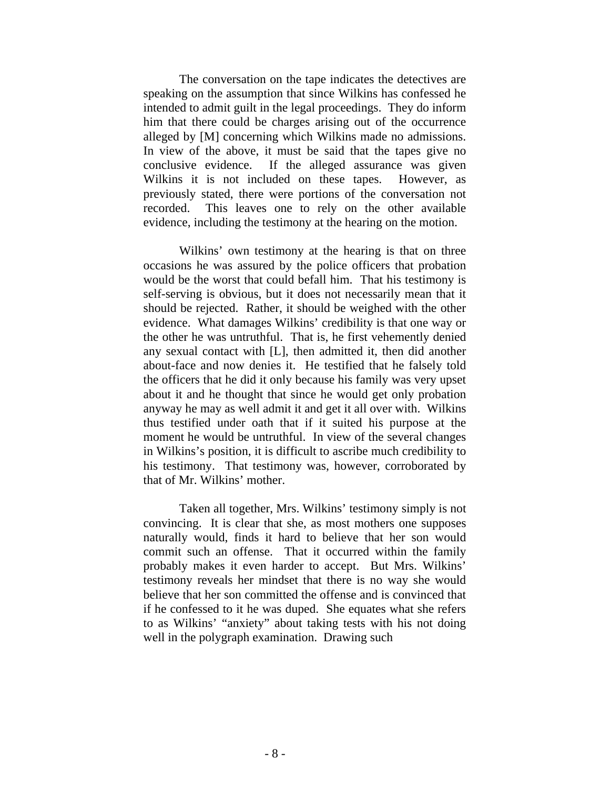The conversation on the tape indicates the detectives are speaking on the assumption that since Wilkins has confessed he intended to admit guilt in the legal proceedings. They do inform him that there could be charges arising out of the occurrence alleged by [M] concerning which Wilkins made no admissions. In view of the above, it must be said that the tapes give no conclusive evidence. If the alleged assurance was given Wilkins it is not included on these tapes. However, as previously stated, there were portions of the conversation not recorded. This leaves one to rely on the other available evidence, including the testimony at the hearing on the motion.

Wilkins' own testimony at the hearing is that on three occasions he was assured by the police officers that probation would be the worst that could befall him. That his testimony is self-serving is obvious, but it does not necessarily mean that it should be rejected. Rather, it should be weighed with the other evidence. What damages Wilkins' credibility is that one way or the other he was untruthful. That is, he first vehemently denied any sexual contact with [L], then admitted it, then did another about-face and now denies it. He testified that he falsely told the officers that he did it only because his family was very upset about it and he thought that since he would get only probation anyway he may as well admit it and get it all over with. Wilkins thus testified under oath that if it suited his purpose at the moment he would be untruthful. In view of the several changes in Wilkins's position, it is difficult to ascribe much credibility to his testimony. That testimony was, however, corroborated by that of Mr. Wilkins' mother.

Taken all together, Mrs. Wilkins' testimony simply is not convincing. It is clear that she, as most mothers one supposes naturally would, finds it hard to believe that her son would commit such an offense. That it occurred within the family probably makes it even harder to accept. But Mrs. Wilkins' testimony reveals her mindset that there is no way she would believe that her son committed the offense and is convinced that if he confessed to it he was duped. She equates what she refers to as Wilkins' "anxiety" about taking tests with his not doing well in the polygraph examination. Drawing such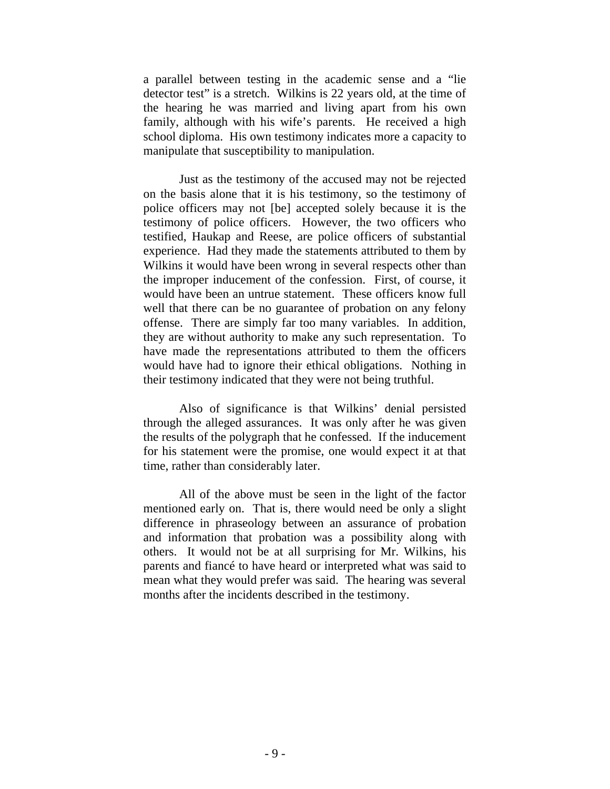a parallel between testing in the academic sense and a "lie detector test" is a stretch. Wilkins is 22 years old, at the time of the hearing he was married and living apart from his own family, although with his wife's parents. He received a high school diploma. His own testimony indicates more a capacity to manipulate that susceptibility to manipulation.

Just as the testimony of the accused may not be rejected on the basis alone that it is his testimony, so the testimony of police officers may not [be] accepted solely because it is the testimony of police officers. However, the two officers who testified, Haukap and Reese, are police officers of substantial experience. Had they made the statements attributed to them by Wilkins it would have been wrong in several respects other than the improper inducement of the confession. First, of course, it would have been an untrue statement. These officers know full well that there can be no guarantee of probation on any felony offense. There are simply far too many variables. In addition, they are without authority to make any such representation. To have made the representations attributed to them the officers would have had to ignore their ethical obligations. Nothing in their testimony indicated that they were not being truthful.

Also of significance is that Wilkins' denial persisted through the alleged assurances. It was only after he was given the results of the polygraph that he confessed. If the inducement for his statement were the promise, one would expect it at that time, rather than considerably later.

All of the above must be seen in the light of the factor mentioned early on. That is, there would need be only a slight difference in phraseology between an assurance of probation and information that probation was a possibility along with others. It would not be at all surprising for Mr. Wilkins, his parents and fiancé to have heard or interpreted what was said to mean what they would prefer was said. The hearing was several months after the incidents described in the testimony.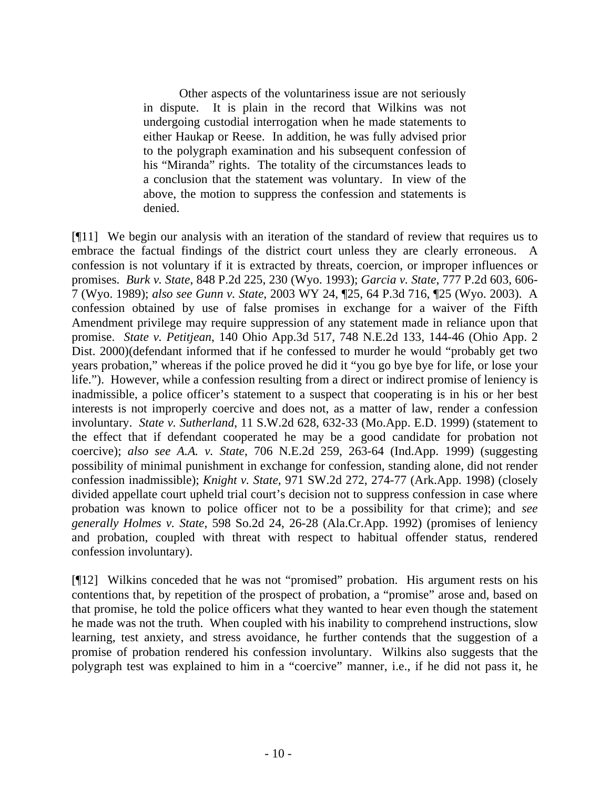Other aspects of the voluntariness issue are not seriously in dispute. It is plain in the record that Wilkins was not undergoing custodial interrogation when he made statements to either Haukap or Reese. In addition, he was fully advised prior to the polygraph examination and his subsequent confession of his "Miranda" rights. The totality of the circumstances leads to a conclusion that the statement was voluntary. In view of the above, the motion to suppress the confession and statements is denied.

[¶11] We begin our analysis with an iteration of the standard of review that requires us to embrace the factual findings of the district court unless they are clearly erroneous. A confession is not voluntary if it is extracted by threats, coercion, or improper influences or promises. *Burk v. State*, 848 P.2d 225, 230 (Wyo. 1993); *Garcia v. State*, 777 P.2d 603, 606- 7 (Wyo. 1989); *also see Gunn v. State*, 2003 WY 24, ¶25, 64 P.3d 716, ¶25 (Wyo. 2003). A confession obtained by use of false promises in exchange for a waiver of the Fifth Amendment privilege may require suppression of any statement made in reliance upon that promise. *State v. Petitjean*, 140 Ohio App.3d 517, 748 N.E.2d 133, 144-46 (Ohio App. 2 Dist. 2000)(defendant informed that if he confessed to murder he would "probably get two years probation," whereas if the police proved he did it "you go bye bye for life, or lose your life."). However, while a confession resulting from a direct or indirect promise of leniency is inadmissible, a police officer's statement to a suspect that cooperating is in his or her best interests is not improperly coercive and does not, as a matter of law, render a confession involuntary. *State v. Sutherland*, 11 S.W.2d 628, 632-33 (Mo.App. E.D. 1999) (statement to the effect that if defendant cooperated he may be a good candidate for probation not coercive); *also see A.A. v. State*, 706 N.E.2d 259, 263-64 (Ind.App. 1999) (suggesting possibility of minimal punishment in exchange for confession, standing alone, did not render confession inadmissible); *Knight v. State*, 971 SW.2d 272, 274-77 (Ark.App. 1998) (closely divided appellate court upheld trial court's decision not to suppress confession in case where probation was known to police officer not to be a possibility for that crime); and *see generally Holmes v. State*, 598 So.2d 24, 26-28 (Ala.Cr.App. 1992) (promises of leniency and probation, coupled with threat with respect to habitual offender status, rendered confession involuntary).

[¶12] Wilkins conceded that he was not "promised" probation. His argument rests on his contentions that, by repetition of the prospect of probation, a "promise" arose and, based on that promise, he told the police officers what they wanted to hear even though the statement he made was not the truth. When coupled with his inability to comprehend instructions, slow learning, test anxiety, and stress avoidance, he further contends that the suggestion of a promise of probation rendered his confession involuntary. Wilkins also suggests that the polygraph test was explained to him in a "coercive" manner, i.e., if he did not pass it, he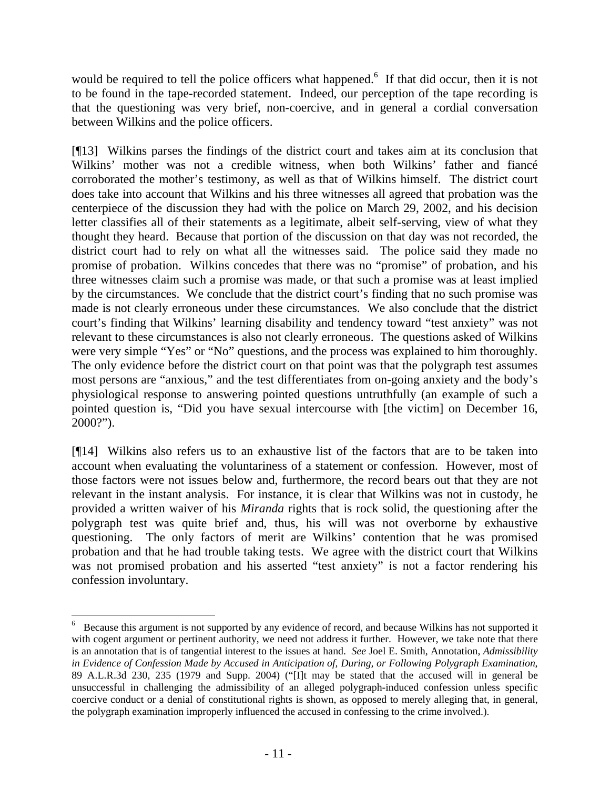would be required to tell the police officers what happened.<sup>6</sup> If that did occur, then it is not to be found in the tape-recorded statement. Indeed, our perception of the tape recording is that the questioning was very brief, non-coercive, and in general a cordial conversation between Wilkins and the police officers.

[¶13] Wilkins parses the findings of the district court and takes aim at its conclusion that Wilkins' mother was not a credible witness, when both Wilkins' father and fiancé corroborated the mother's testimony, as well as that of Wilkins himself. The district court does take into account that Wilkins and his three witnesses all agreed that probation was the centerpiece of the discussion they had with the police on March 29, 2002, and his decision letter classifies all of their statements as a legitimate, albeit self-serving, view of what they thought they heard. Because that portion of the discussion on that day was not recorded, the district court had to rely on what all the witnesses said. The police said they made no promise of probation. Wilkins concedes that there was no "promise" of probation, and his three witnesses claim such a promise was made, or that such a promise was at least implied by the circumstances. We conclude that the district court's finding that no such promise was made is not clearly erroneous under these circumstances. We also conclude that the district court's finding that Wilkins' learning disability and tendency toward "test anxiety" was not relevant to these circumstances is also not clearly erroneous. The questions asked of Wilkins were very simple "Yes" or "No" questions, and the process was explained to him thoroughly. The only evidence before the district court on that point was that the polygraph test assumes most persons are "anxious," and the test differentiates from on-going anxiety and the body's physiological response to answering pointed questions untruthfully (an example of such a pointed question is, "Did you have sexual intercourse with [the victim] on December 16, 2000?").

[¶14] Wilkins also refers us to an exhaustive list of the factors that are to be taken into account when evaluating the voluntariness of a statement or confession. However, most of those factors were not issues below and, furthermore, the record bears out that they are not relevant in the instant analysis. For instance, it is clear that Wilkins was not in custody, he provided a written waiver of his *Miranda* rights that is rock solid, the questioning after the polygraph test was quite brief and, thus, his will was not overborne by exhaustive questioning. The only factors of merit are Wilkins' contention that he was promised probation and that he had trouble taking tests. We agree with the district court that Wilkins was not promised probation and his asserted "test anxiety" is not a factor rendering his confession involuntary.

 <sup>6</sup> <sup>6</sup> Because this argument is not supported by any evidence of record, and because Wilkins has not supported it with cogent argument or pertinent authority, we need not address it further. However, we take note that there is an annotation that is of tangential interest to the issues at hand. *See* Joel E. Smith, Annotation, *Admissibility in Evidence of Confession Made by Accused in Anticipation of, During, or Following Polygraph Examination*, 89 A.L.R.3d 230, 235 (1979 and Supp. 2004) ("[I]t may be stated that the accused will in general be unsuccessful in challenging the admissibility of an alleged polygraph-induced confession unless specific coercive conduct or a denial of constitutional rights is shown, as opposed to merely alleging that, in general, the polygraph examination improperly influenced the accused in confessing to the crime involved.).